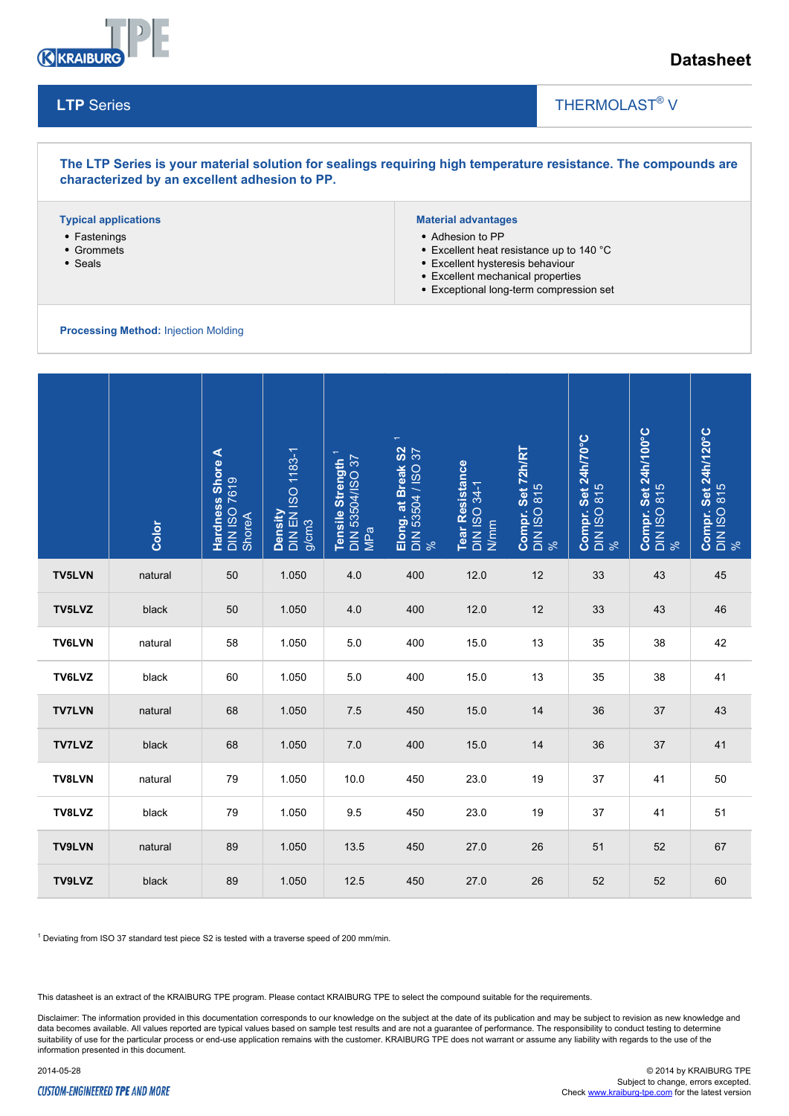

**LTP** Series

# **Datasheet**

## THERMOLAST<sup>®</sup> V

## **The LTP Series is your material solution for sealings requiring high temperature resistance. The compounds are characterized by an excellent adhesion to PP.**

### **Typical applications**

- Fastenings
- Grommets
- Seals

## **Material advantages**

- Adhesion to PP
- Excellent heat resistance up to 140 °C

 $\overline{\phantom{a}}$ 

- Excellent hysteresis behaviour
- Excellent mechanical properties
- Exceptional long-term compression set

#### **Processing Method:** Injection Molding

|               | Color                                                                                                    | <b>Hardness Shore A</b><br>DIN ISO 7619<br>ShoreA | Density<br>DIN EN ISO 1183-1<br>g/cm3 | Tensile Strength <sup>1</sup><br>DIN 53504/ISO 37<br>  MPa | $\overline{\phantom{m}}$<br>Elong. at Break S2<br>DIN 53504 / ISO 37<br>% | Tear Resistance<br>DIN ISO 34-1<br>N/mm | <b>Compr. Set 72h/RT</b><br>DIN ISO 815<br>% | Compr. Set 24h/70°C<br>DIN ISO 815<br>% | Compr. Set 24h/100°C<br>DIN ISO 815<br>% | <b>Compr. Set 24h/120°C</b><br>DIN ISO 815<br>% |
|---------------|----------------------------------------------------------------------------------------------------------|---------------------------------------------------|---------------------------------------|------------------------------------------------------------|---------------------------------------------------------------------------|-----------------------------------------|----------------------------------------------|-----------------------------------------|------------------------------------------|-------------------------------------------------|
| <b>TV5LVN</b> | natural                                                                                                  | 50                                                | 1.050                                 | 4.0                                                        | 400                                                                       | 12.0                                    | 12                                           | 33                                      | 43                                       | 45                                              |
| TV5LVZ        | black                                                                                                    | 50                                                | 1.050                                 | 4.0                                                        | 400                                                                       | 12.0                                    | 12                                           | 33                                      | 43                                       | 46                                              |
| <b>TV6LVN</b> | natural                                                                                                  | 58                                                | 1.050                                 | 5.0                                                        | 400                                                                       | 15.0                                    | 13                                           | 35                                      | 38                                       | 42                                              |
| TV6LVZ        | black                                                                                                    | 60                                                | 1.050                                 | 5.0                                                        | 400                                                                       | 15.0                                    | 13                                           | 35                                      | 38                                       | 41                                              |
| <b>TV7LVN</b> | natural                                                                                                  | 68                                                | 1.050                                 | 7.5                                                        | 450                                                                       | 15.0                                    | 14                                           | 36                                      | 37                                       | 43                                              |
| <b>TV7LVZ</b> | black                                                                                                    | 68                                                | 1.050                                 | 7.0                                                        | 400                                                                       | 15.0                                    | 14                                           | 36                                      | 37                                       | 41                                              |
| TV8LVN        | natural                                                                                                  | 79                                                | 1.050                                 | 10.0                                                       | 450                                                                       | 23.0                                    | 19                                           | 37                                      | 41                                       | 50                                              |
| TV8LVZ        | black                                                                                                    | 79                                                | 1.050                                 | 9.5                                                        | 450                                                                       | 23.0                                    | 19                                           | 37                                      | 41                                       | 51                                              |
| <b>TV9LVN</b> | natural                                                                                                  | 89                                                | 1.050                                 | 13.5                                                       | 450                                                                       | 27.0                                    | 26                                           | 51                                      | 52                                       | 67                                              |
| TV9LVZ        | black                                                                                                    | 89                                                | 1.050                                 | 12.5                                                       | 450                                                                       | 27.0                                    | 26                                           | 52                                      | 52                                       | 60                                              |
|               | <sup>1</sup> Deviating from ISO 37 standard test piece S2 is tested with a traverse speed of 200 mm/min. |                                                   |                                       |                                                            |                                                                           |                                         |                                              |                                         |                                          |                                                 |

 $1$  Deviating from ISO 37 standard test piece S2 is tested with a traverse speed of 200 mm/min.

This datasheet is an extract of the KRAIBURG TPE program. Please contact KRAIBURG TPE to select the compound suitable for the requirements.

Disclaimer: The information provided in this documentation corresponds to our knowledge on the subject at the date of its publication and may be subject to revision as new knowledge and data becomes available. All values reported are typical values based on sample test results and are not a guarantee of performance. The responsibility to conduct testing to determine suitability of use for the particular process or end-use application remains with the customer. KRAIBURG TPE does not warrant or assume any liability with regards to the use of the information presented in this document.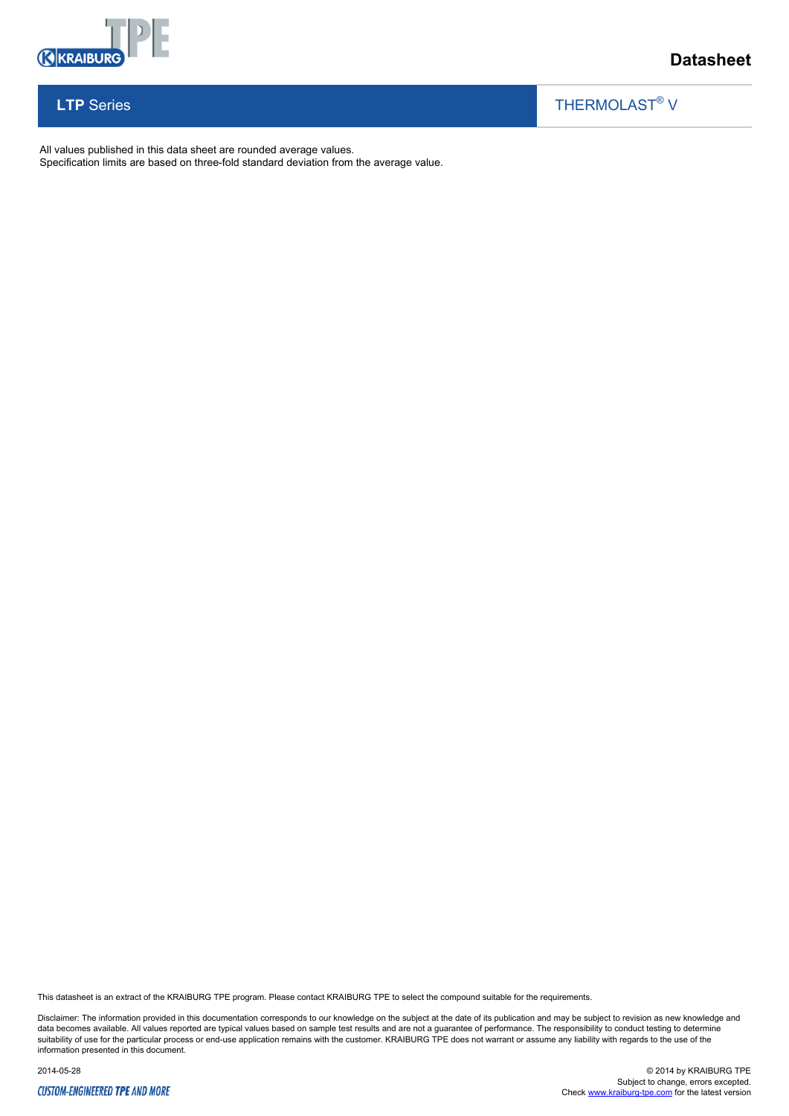

**LTP** Series

# **Datasheet**

#### $\overline{\phantom{a}}$ THERMOLAST<sup>®</sup> V

All values published in this data sheet are rounded average values.

Specification limits are based on three-fold standard deviation from the average value.

This datasheet is an extract of the KRAIBURG TPE program. Please contact KRAIBURG TPE to select the compound suitable for the requirements.

Disclaimer: The information provided in this documentation corresponds to our knowledge on the subject at the date of its publication and may be subject to revision as new knowledge and<br>data becomes available. All values r information presented in this document.